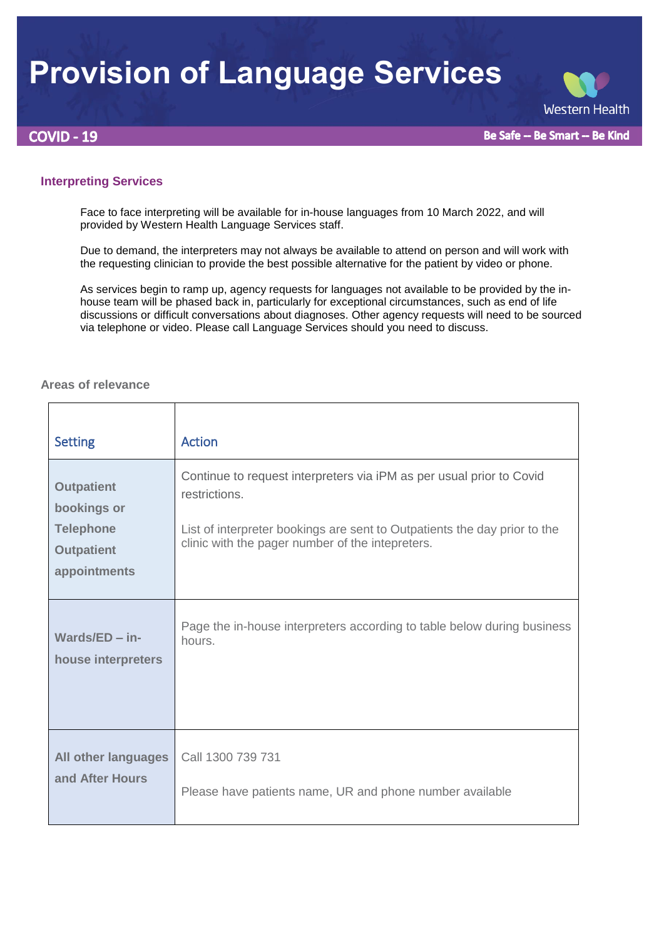## **Provision of Language Services**

**COVID - 19** 

**Western Health** 

Be Safe -- Be Smart -- Be Kind

## **Interpreting Services**

Face to face interpreting will be available for in-house languages from 10 March 2022, and will provided by Western Health Language Services staff.

Due to demand, the interpreters may not always be available to attend on person and will work with the requesting clinician to provide the best possible alternative for the patient by video or phone.

As services begin to ramp up, agency requests for languages not available to be provided by the inhouse team will be phased back in, particularly for exceptional circumstances, such as end of life discussions or difficult conversations about diagnoses. Other agency requests will need to be sourced via telephone or video. Please call Language Services should you need to discuss.

## **Areas of relevance**

| <b>Setting</b>                                                                            | <b>Action</b>                                                                                                                                                                                                          |
|-------------------------------------------------------------------------------------------|------------------------------------------------------------------------------------------------------------------------------------------------------------------------------------------------------------------------|
| <b>Outpatient</b><br>bookings or<br><b>Telephone</b><br><b>Outpatient</b><br>appointments | Continue to request interpreters via iPM as per usual prior to Covid<br>restrictions.<br>List of interpreter bookings are sent to Outpatients the day prior to the<br>clinic with the pager number of the intepreters. |
| Wards/ED $-$ in-                                                                          | Page the in-house interpreters according to table below during business                                                                                                                                                |
| house interpreters                                                                        | hours.                                                                                                                                                                                                                 |
| All other languages                                                                       | Call 1300 739 731                                                                                                                                                                                                      |
| and After Hours                                                                           | Please have patients name, UR and phone number available                                                                                                                                                               |